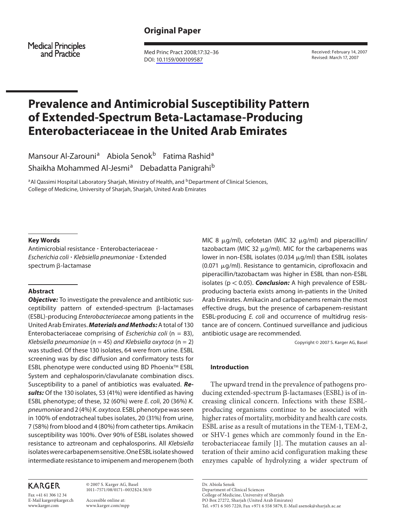# **Original Paper**

**Medical Principles** and Practice

 Med Princ Pract 2008;17:32–36 DOI: 10.1159/000109587

 Received: February 14, 2007 Revised: March 17, 2007

# **Prevalence and Antimicrobial Susceptibility Pattern of Extended-Spectrum Beta-Lactamase-Producing Enterobacteriaceae in the United Arab Emirates**

Mansour Al-Zarouni<sup>a</sup> Abiola Senok<sup>b</sup> Fatima Rashid<sup>a</sup> Shaikha Mohammed Al-Jesmi<sup>a</sup> Debadatta Panigrahi<sup>b</sup>

<sup>a</sup> Al Qassimi Hospital Laboratory Sharjah, Ministry of Health, and <sup>b</sup>Department of Clinical Sciences, College of Medicine, University of Sharjah, Sharjah, United Arab Emirates

## **Key Words**

 Antimicrobial resistance - Enterobacteriaceae -Escherichia coli · Klebsiella pneumoniae · Extended spectrum  $\beta$ -lactamase

## **Abstract**

*Objective:* To investigate the prevalence and antibiotic susceptibility pattern of extended-spectrum  $\beta$ -lactamases (ESBL)-producing Enterobacteriaecae among patients in the United Arab Emirates. **Materials and Methods:** A total of 130 Enterobacteriaceae comprising of *Escherichia coli* ( $n = 83$ ), Klebsiella pneumoniae ( $n = 45$ ) and Klebsiella oxytoca ( $n = 2$ ) was studied. Of these 130 isolates, 64 were from urine. ESBL screening was by disc diffusion and confirmatory tests for ESBL phenotype were conducted using BD Phoenix<sup>™</sup> ESBL System and cephalosporin/clavulanate combination discs. Susceptibility to a panel of antibiotics was evaluated. **Results:** Of the 130 isolates, 53 (41%) were identified as having ESBL phenotype; of these, 32 (60%) were  $E$ . coli, 20 (36%)  $K$ . pneumoniae and 2 (4%) K. oxytoca . ESBL phenotype was seen in 100% of endotracheal tubes isolates, 20 (31%) from urine, 7 (58%) from blood and 4 (80%) from catheter tips. Amikacin susceptibility was 100%. Over 90% of ESBL isolates showed resistance to aztreonam and cephalosporins. All Klebsiella isolates were carbapenem sensitive. One ESBL isolate showed intermediate resistance to imipenem and meropenem (both

# **KARGER**

Fax +41 61 306 12 34 E-Mail karger@karger.ch www.karger.com

 © 2007 S. Karger AG, Basel 1011–7571/08/0171–0032\$24.50/0

 Accessible online at: www.karger.com/mpp

MIC 8  $\mu$ g/ml), cefotetan (MIC 32  $\mu$ g/ml) and piperacillin/ tazobactam (MIC 32  $\mu$ g/ml). MIC for the carbapenems was lower in non-ESBL isolates (0.034  $\mu$ g/ml) than ESBL isolates  $(0.071 \mu g/ml)$ . Resistance to gentamicin, ciprofloxacin and piperacillin/tazobactam was higher in ESBL than non-ESBL isolates (p < 0.05). **Conclusion:** A high prevalence of ESBLproducing bacteria exists among in-patients in the United Arab Emirates. Amikacin and carbapenems remain the most effective drugs, but the presence of carbapenem-resistant ESBL-producing E. coli and occurrence of multidrug resistance are of concern. Continued surveillance and judicious antibiotic usage are recommended.

Copyright © 2007 S. Karger AG, Basel

# **Introduction**

 The upward trend in the prevalence of pathogens producing extended-spectrum  $\beta$ -lactamases (ESBL) is of increasing clinical concern. Infections with these ESBLproducing organisms continue to be associated with higher rates of mortality, morbidity and health care costs. ESBL arise as a result of mutations in the TEM-1, TEM-2, or SHV-1 genes which are commonly found in the Enterobacteriaceae family [1]. The mutation causes an alteration of their amino acid configuration making these enzymes capable of hydrolyzing a wider spectrum of

 Dr. Abiola Senok Department of Clinical Sciences College of Medicine, University of Sharjah PO Box 27272, Sharjah (United Arab Emirates) Tel. +971 6 505 7220, Fax +971 6 558 5879, E-Mail asenok@sharjah.ac.ae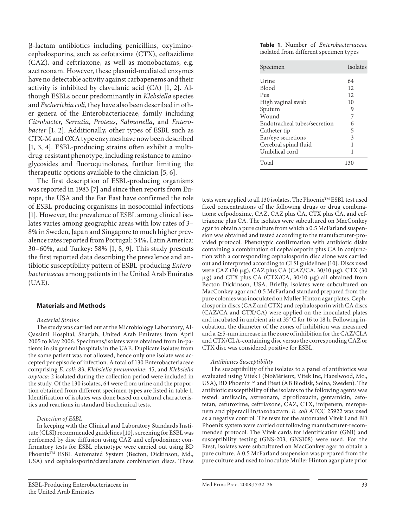-lactam antibiotics including penicillins, oxyiminocephalosporins, such as cefotaxime (CTX), ceftazidime (CAZ), and ceftriaxone, as well as monobactams, e.g. azetreonam. However, these plasmid-mediated enzymes have no detectable activity against carbapenems and their activity is inhibited by clavulanic acid  $(CA)$  [1, 2]. Although ESBLs occur predominantly in Klebsiella species and Escherichia coli, they have also been described in other genera of the Enterobacteriaceae, family including Citrobacter, Serratia, Proteus, Salmonella, and Enterobacter [1, 2]. Additionally, other types of ESBL such as CTX-M and OXA type enzymes have now been described [1, 3, 4]. ESBL-producing strains often exhibit a multidrug-resistant phenotype, including resistance to aminoglycosides and fluoroquinolones, further limiting the therapeutic options available to the clinician [5, 6].

 The first description of ESBL-producing organisms was reported in 1983 [7] and since then reports from Europe, the USA and the Far East have confirmed the role of ESBL-producing organisms in nosocomial infections [1]. However, the prevalence of ESBL among clinical isolates varies among geographic areas with low rates of 3– 8% in Sweden, Japan and Singapore to much higher prevalence rates reported from Portugal: 34%, Latin America: 30–60%, and Turkey: 58% [1, 8, 9]. This study presents the first reported data describing the prevalence and antibiotic susceptibility pattern of ESBL-producing Enterobacteriaecae among patients in the United Arab Emirates (UAE).

## **Materials and Methods**

#### Bacterial Strains

 The study was carried out at the Microbiology Laboratory, Al-Qassimi Hospital, Sharjah, United Arab Emirates from April 2005 to May 2006. Specimens/isolates were obtained from in-patients in six general hospitals in the UAE. Duplicate isolates from the same patient was not allowed, hence only one isolate was accepted per episode of infection. A total of 130 Enterobacteriaceae comprising E. coli: 83, Klebsiella pneumoniae: 45, and Klebsiella oxytoca : 2 isolated during the collection period were included in the study. Of the 130 isolates, 64 were from urine and the proportion obtained from different specimen types are listed in table 1. Identification of isolates was done based on cultural characteristics and reactions in standard biochemical tests.

#### Detection of ESBL

 In keeping with the Clinical and Laboratory Standards Institute (CLSI) recommended guidelines [10] , screening for ESBL was performed by disc diffusion using CAZ and cefpodoxime; confirmatory tests for ESBL phenotype were carried out using BD Phoenix<sup>TM</sup> ESBL Automated System (Becton, Dickinson, Md., USA) and cephalosporin/clavulanate combination discs. These

**Table 1.** Number of Enterobacteriaceae isolated from different specimen types

| Specimen                     | Isolates |
|------------------------------|----------|
| Urine                        | 64       |
| <b>Blood</b>                 | 12       |
| Pus                          | 12       |
| High vaginal swab            | 10       |
| Sputum                       | 9        |
| Wound                        | 7        |
| Endotracheal tubes/secretion | 6        |
| Catheter tip                 | 5        |
| Ear/eye secretions           | 3        |
| Cerebral spinal fluid        |          |
| Umbilical cord               | 1        |
| Total                        | 130      |

tests were applied to all 130 isolates. The Phoenix™ ESBL test used fixed concentrations of the following drugs or drug combinations: cefpodoxime, CAZ, CAZ plus CA, CTX plus CA, and ceftriaxone plus CA. The isolates were subcultured on MacConkey agar to obtain a pure culture from which a 0.5 McFarland suspension was obtained and tested according to the manufacturer-provided protocol. Phenotypic confirmation with antibiotic disks containing a combination of cephalosporin plus CA in conjunction with a corresponding cephalosporin disc alone was carried out and interpreted according to CLSI guidelines [10]. Discs used were CAZ (30 μg), CAZ plus CA (CAZ/CA, 30/10 μg), CTX (30 μg) and CTX plus CA (CTX/CA, 30/10 μg) all obtained from Becton Dickinson, USA. Briefly, isolates were subcultured on MacConkey agar and 0.5 McFarland standard prepared from the pure colonies was inoculated on Muller Hinton agar plates. Cephalosporin discs (CAZ and CTX) and cephalosporin with CA discs (CAZ/CA and CTX/CA) were applied on the inoculated plates and incubated in ambient air at 35°C for 16 to 18 h. Following incubation, the diameter of the zones of inhibition was measured and a  $\geq$  5-mm increase in the zone of inhibition for the CAZ/CLA and CTX/CLA-containing disc versus the corresponding CAZ or CTX disc was considered positive for ESBL.

## Antibiotics Susceptibility

 The susceptibility of the isolates to a panel of antibiotics was evaluated using Vitek I (bioMérieux, Vitek Inc, Hazelwood, Mo., USA), BD Phoenix™ and Etest (AB Biodisk, Solna, Sweden). The antibiotic susceptibility of the isolates to the following agents was tested: amikacin, aztreonam, ciprofloxacin, gentamicin, cefotetan, cefuroxime, ceftriaxone, CAZ, CTX, imipenem, meropenem and piperacillin/tazobactam. E. coli ATCC 25922 was used as a negative control. The tests for the automated Vitek I and BD Phoenix system were carried out following manufacturer-recommended protocol. The Vitek cards for identification (GNI) and susceptibility testing (GNS-203, GNS108) were used. For the Etest, isolates were subcultured on MacConkey agar to obtain a pure culture. A 0.5 McFarland suspension was prepared from the pure culture and used to inoculate Muller Hinton agar plate prior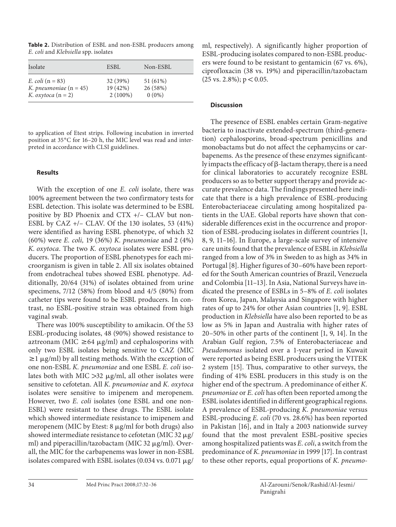**Table 2.** Distribution of ESBL and non-ESBL producers among E. coli and Klebsiella spp. isolates

| Isolate                   | ESBL       | Non-ESBL |
|---------------------------|------------|----------|
| <i>E. coli</i> $(n = 83)$ | 32 (39%)   | 51 (61%) |
| K. pneumoniae $(n = 45)$  | 19(42%)    | 26 (58%) |
| K. oxytoca $(n = 2)$      | $2(100\%)$ | $0(0\%)$ |

to application of Etest strips. Following incubation in inverted position at 35°C for 16-20 h, the MIC level was read and interpreted in accordance with CLSI guidelines.

# **Results**

With the exception of one E. coli isolate, there was 100% agreement between the two confirmatory tests for ESBL detection. This isolate was determined to be ESBL positive by BD Phoenix and CTX +/– CLAV but non-ESBL by CAZ +/– CLAV. Of the 130 isolates, 53 (41%) were identified as having ESBL phenotype, of which 32 (60%) were E. coli, 19 (36%) K. pneumoniae and 2 (4%) K. oxytoca . The two K. oxytoca isolates were ESBL producers. The proportion of ESBL phenotypes for each microorganism is given in table 2 . All six isolates obtained from endotracheal tubes showed ESBL phenotype. Additionally, 20/64 (31%) of isolates obtained from urine specimens, 7/12 (58%) from blood and 4/5 (80%) from catheter tips were found to be ESBL producers. In contrast, no ESBL-positive strain was obtained from high vaginal swab.

 There was 100% susceptibility to amikacin. Of the 53 ESBL-producing isolates, 48 (90%) showed resistance to aztreonam (MIC  $\geq$  64  $\mu$ g/ml) and cephalosporins with only two ESBL isolates being sensitive to CAZ (MIC  $\geq$  1  $\mu$ g/ml) by all testing methods. With the exception of one non-ESBL K. pneumoniae and one ESBL E. coli isolates both with MIC  $>$ 32  $\mu$ g/ml, all other isolates were sensitive to cefotetan. All K. pneumoniae and K. oxytoca isolates were sensitive to imipenem and meropenem. However, two E. coli isolates (one ESBL and one non-ESBL) were resistant to these drugs. The ESBL isolate which showed intermediate resistance to imipenem and meropenem (MIC by Etest: 8 µg/ml for both drugs) also showed intermediate resistance to cefotetan (MIC 32  $\mu$ g/ ml) and piperacillin/tazobactam (MIC 32 µg/ml). Overall, the MIC for the carbapenems was lower in non-ESBL isolates compared with ESBL isolates (0.034 vs. 0.071  $\mu$ g/

ml, respectively). A significantly higher proportion of ESBL-producing isolates compared to non-ESBL producers were found to be resistant to gentamicin (67 vs. 6%), ciprofloxacin (38 vs. 19%) and piperacillin/tazobactam  $(25 \text{ vs. } 2.8\%); p < 0.05.$ 

# **Discussion**

 The presence of ESBL enables certain Gram-negative bacteria to inactivate extended-spectrum (third-generation) cephalosporins, broad-spectrum penicillins and monobactams but do not affect the cephamycins or carbapenems. As the presence of these enzymes significantly impacts the efficacy of  $\beta$ -lactam therapy, there is a need for clinical laboratories to accurately recognize ESBL producers so as to better support therapy and provide accurate prevalence data. The findings presented here indicate that there is a high prevalence of ESBL-producing Enterobacteriaceae circulating among hospitalized patients in the UAE. Global reports have shown that considerable differences exist in the occurrence and proportion of ESBL-producing isolates in different countries [1, 8, 9, 11–16] . In Europe, a large-scale survey of intensive care units found that the prevalence of ESBL in Klebsiella ranged from a low of 3% in Sweden to as high as 34% in Portugal [8]. Higher figures of 30-60% have been reported for the South American countries of Brazil, Venezuela and Colombia [11–13] . In Asia, National Surveys have indicated the presence of ESBLs in 5–8% of E. coli isolates from Korea, Japan, Malaysia and Singapore with higher rates of up to 24% for other Asian countries [1, 9]. ESBL production in Klebsiella have also been reported to be as low as 5% in Japan and Australia with higher rates of  $20-50\%$  in other parts of the continent [1, 9, 14]. In the Arabian Gulf region, 7.5% of Enterobacteriaceae and Pseudomonas isolated over a 1-year period in Kuwait were reported as being ESBL producers using the VITEK 2 system [15]. Thus, comparative to other surveys, the finding of 41% ESBL producers in this study is on the higher end of the spectrum. A predominance of either K. pneumoniae or E. coli has often been reported among the ESBL isolates identified in different geographical regions. A prevalence of ESBL-producing K. pneumoniae versus ESBL-producing E. coli (70 vs. 28.6%) has been reported in Pakistan [16], and in Italy a 2003 nationwide survey found that the most prevalent ESBL-positive species among hospitalized patients was E. coli, a switch from the predominance of K. pneumoniae in 1999 [17] . In contrast to these other reports, equal proportions of K. pneumo-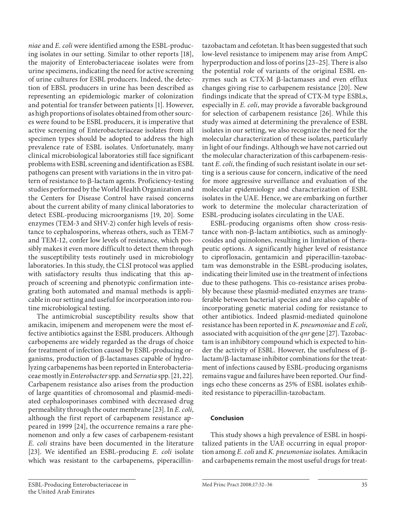ESBL-Producing Enterobacteriaceae in the United Arab Emirates

niae and E. coli were identified among the ESBL-producing isolates in our setting. Similar to other reports [18] , the majority of Enterobacteriaceae isolates were from urine specimens, indicating the need for active screening of urine cultures for ESBL producers. Indeed, the detection of EBSL producers in urine has been described as representing an epidemiologic marker of colonization and potential for transfer between patients [1]. However, as high proportions of isolates obtained from other sources were found to be ESBL producers, it is imperative that active screening of Enterobacteriaceaeisolates from all specimen types should be adopted to address the high prevalence rate of ESBL isolates. Unfortunately, many clinical microbiological laboratories still face significant problems with ESBL screening and identification as ESBL pathogens can present with variations in the in vitro pattern of resistance to  $\beta$ -lactam agents. Proficiency-testing studies performed by the World Health Organization and the Centers for Disease Control have raised concerns about the current ability of many clinical laboratories to detect ESBL-producing microorganisms [19, 20]. Some enzymes (TEM-3 and SHV-2) confer high levels of resistance to cephalosporins, whereas others, such as TEM-7 and TEM-12, confer low levels of resistance, which possibly makes it even more difficult to detect them through the susceptibility tests routinely used in microbiology laboratories. In this study, the CLSI protocol was applied with satisfactory results thus indicating that this approach of screening and phenotypic confirmation integrating both automated and manual methods is applicable in our setting and useful for incorporation into routine microbiological testing.

 The antimicrobial susceptibility results show that amikacin, imipenem and meropenem were the most effective antibiotics against the ESBL producers. Although carbopenems are widely regarded as the drugs of choice for treatment of infection caused by ESBL-producing organisms, production of  $\beta$ -lactamases capable of hydrolyzing carbapenems has been reported in Enterobacteriaceae mostly in Enterobacter spp. and Serratia spp. [21, 22] . Carbapenem resistance also arises from the production of large quantities of chromosomal and plasmid-mediated cephalosporinases combined with decreased drug permeability through the outer membrane [23]. In E. coli, although the first report of carbapenem resistance appeared in 1999 [24], the occurrence remains a rare phenomenon and only a few cases of carbapenem-resistant E. coli strains have been documented in the literature [23]. We identified an ESBL-producing E. coli isolate which was resistant to the carbapenems, piperacillintazobactam and cefotetan. It has been suggested that such low-level resistance to imipenem may arise from AmpC hyperproduction and loss of porins [23–25] . There is also the potential role of variants of the original ESBL enzymes such as CTX-M  $\beta$ -lactamases and even efflux changes giving rise to carbapenem resistance [20]. New findings indicate that the spread of CTX-M type ESBLs, especially in E. coli, may provide a favorable background for selection of carbapenem resistance [26]. While this study was aimed at determining the prevalence of ESBL isolates in our setting, we also recognize the need for the molecular characterization of these isolates, particularly in light of our findings. Although we have not carried out the molecular characterization of this carbapenem-resis $t$ ant  $E$ . *coli*, the finding of such resistant isolate in our setting is a serious cause for concern, indicative of the need for more aggressive surveillance and evaluation of the molecular epidemiology and characterization of ESBL isolates in the UAE. Hence, we are embarking on further work to determine the molecular characterization of ESBL-producing isolates circulating in the UAE.

 ESBL-producing organisms often show cross-resistance with non- $\beta$ -lactam antibiotics, such as aminoglycosides and quinolones, resulting in limitation of therapeutic options. A significantly higher level of resistance to ciprofloxacin, gentamicin and piperacillin-tazobactam was demonstrable in the ESBL-producing isolates, indicating their limited use in the treatment of infections due to these pathogens. This co-resistance arises probably because these plasmid-mediated enzymes are transferable between bacterial species and are also capable of incorporating genetic material coding for resistance to other antibiotics. Indeed plasmid-mediated quinolone resistance has been reported in K. pneumoniae and E coli, associated with acquisition of the *qnr* gene [27]. Tazobactam is an inhibitory compound which is expected to hinder the activity of ESBL. However, the usefulness of  $\beta$  $lactam/B$ -lactamase inhibitor combinations for the treatment of infections caused by ESBL-producing organisms remains vague and failures have been reported. Our findings echo these concerns as 25% of ESBL isolates exhibited resistance to piperacillin-tazobactam.

# **Conclusion**

 This study shows a high prevalence of ESBL in hospitalized patients in the UAE occurring in equal proportion among E. coli and K. pneumoniae isolates. Amikacin and carbapenems remain the most useful drugs for treat-